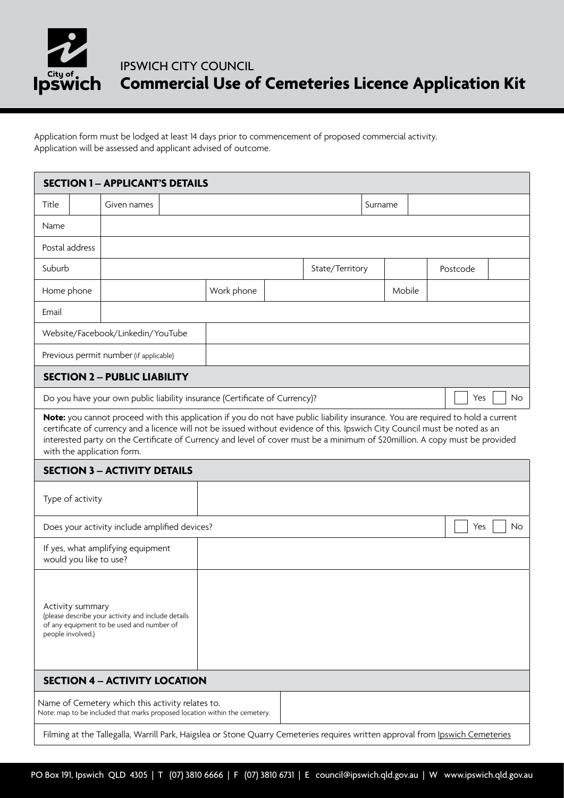

## IPSWICH CITY COUNCIL **Commercial Use of Cemeteries Licence Application Kit**

Application form must be lodged at least 14 days prior to commencement of proposed commercial activity. Application will be assessed and applicant advised of outcome.

| <b>SECTION 1 - APPLICANT'S DETAILS</b>                                                                                                                                                                                                                                                                                                                                                                                        |  |             |  |            |  |                 |                  |        |          |  |  |
|-------------------------------------------------------------------------------------------------------------------------------------------------------------------------------------------------------------------------------------------------------------------------------------------------------------------------------------------------------------------------------------------------------------------------------|--|-------------|--|------------|--|-----------------|------------------|--------|----------|--|--|
| Title                                                                                                                                                                                                                                                                                                                                                                                                                         |  | Given names |  |            |  |                 | Surname          |        |          |  |  |
| Name                                                                                                                                                                                                                                                                                                                                                                                                                          |  |             |  |            |  |                 |                  |        |          |  |  |
| Postal address                                                                                                                                                                                                                                                                                                                                                                                                                |  |             |  |            |  |                 |                  |        |          |  |  |
| Suburb                                                                                                                                                                                                                                                                                                                                                                                                                        |  |             |  |            |  | State/Territory |                  |        | Postcode |  |  |
| Home phone                                                                                                                                                                                                                                                                                                                                                                                                                    |  |             |  | Work phone |  |                 |                  | Mobile |          |  |  |
| Email                                                                                                                                                                                                                                                                                                                                                                                                                         |  |             |  |            |  |                 |                  |        |          |  |  |
| Website/Facebook/Linkedin/YouTube                                                                                                                                                                                                                                                                                                                                                                                             |  |             |  |            |  |                 |                  |        |          |  |  |
| Previous permit number (if applicable)                                                                                                                                                                                                                                                                                                                                                                                        |  |             |  |            |  |                 |                  |        |          |  |  |
| <b>SECTION 2 - PUBLIC LIABILITY</b>                                                                                                                                                                                                                                                                                                                                                                                           |  |             |  |            |  |                 |                  |        |          |  |  |
| Do you have your own public liability insurance (Certificate of Currency)?<br>Yes<br><b>No</b>                                                                                                                                                                                                                                                                                                                                |  |             |  |            |  |                 |                  |        |          |  |  |
| Note: you cannot proceed with this application if you do not have public liability insurance. You are required to hold a current<br>certificate of currency and a licence will not be issued without evidence of this. Ipswich City Council must be noted as an<br>interested party on the Certificate of Currency and level of cover must be a minimum of \$20million. A copy must be provided<br>with the application form. |  |             |  |            |  |                 |                  |        |          |  |  |
| <b>SECTION 3 - ACTIVITY DETAILS</b>                                                                                                                                                                                                                                                                                                                                                                                           |  |             |  |            |  |                 |                  |        |          |  |  |
| Type of activity                                                                                                                                                                                                                                                                                                                                                                                                              |  |             |  |            |  |                 |                  |        |          |  |  |
| Does your activity include amplified devices?                                                                                                                                                                                                                                                                                                                                                                                 |  |             |  |            |  |                 | Yes<br><b>No</b> |        |          |  |  |
| If yes, what amplifying equipment<br>would you like to use?                                                                                                                                                                                                                                                                                                                                                                   |  |             |  |            |  |                 |                  |        |          |  |  |
| Activity summary<br>(please describe your activity and include details<br>of any equipment to be used and number of<br>people involved.)                                                                                                                                                                                                                                                                                      |  |             |  |            |  |                 |                  |        |          |  |  |
| <b>SECTION 4 - ACTIVITY LOCATION</b>                                                                                                                                                                                                                                                                                                                                                                                          |  |             |  |            |  |                 |                  |        |          |  |  |
| Name of Cemetery which this activity relates to.<br>Note: map to be included that marks proposed location within the cemetery.                                                                                                                                                                                                                                                                                                |  |             |  |            |  |                 |                  |        |          |  |  |
| Filming at the Tallegalla, Warrill Park, Haigslea or Stone Quarry Cemeteries requires written approval from Ipswich Cemeteries                                                                                                                                                                                                                                                                                                |  |             |  |            |  |                 |                  |        |          |  |  |